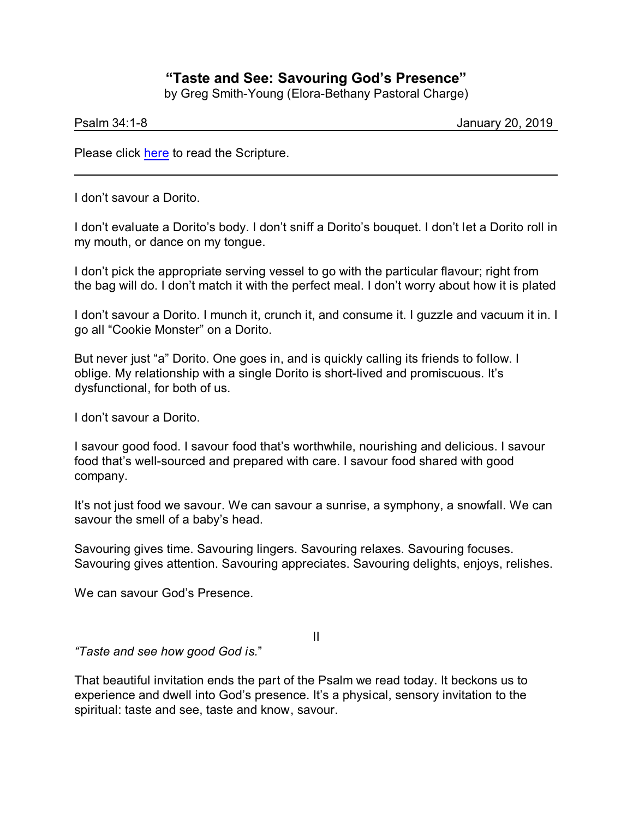## **"Taste and See: Savouring God's Presence"**

by Greg Smith-Young (Elora-Bethany Pastoral Charge)

Psalm 34:1-8 January 20, 2019

Please click [here](https://www.biblegateway.com/passage/?search=Psalm+34%3A1-8&version=CEB) to read the Scripture.

I don't savour a Dorito.

I don't evaluate a Dorito's body. I don't sniff a Dorito's bouquet. I don't let a Dorito roll in my mouth, or dance on my tongue.

I don't pick the appropriate serving vessel to go with the particular flavour; right from the bag will do. I don't match it with the perfect meal. I don't worry about how it is plated

I don't savour a Dorito. I munch it, crunch it, and consume it. I guzzle and vacuum it in. I go all "Cookie Monster" on a Dorito.

But never just "a" Dorito. One goes in, and is quickly calling its friends to follow. I oblige. My relationship with a single Dorito is short-lived and promiscuous. It's dysfunctional, for both of us.

I don't savour a Dorito.

I savour good food. I savour food that's worthwhile, nourishing and delicious. I savour food that's well-sourced and prepared with care. I savour food shared with good company.

It's not just food we savour. We can savour a sunrise, a symphony, a snowfall. We can savour the smell of a baby's head.

Savouring gives time. Savouring lingers. Savouring relaxes. Savouring focuses. Savouring gives attention. Savouring appreciates. Savouring delights, enjoys, relishes.

We can savour God's Presence.

II

*"Taste and see how good God is.*"

That beautiful invitation ends the part of the Psalm we read today. It beckons us to experience and dwell into God's presence. It's a physical, sensory invitation to the spiritual: taste and see, taste and know, savour.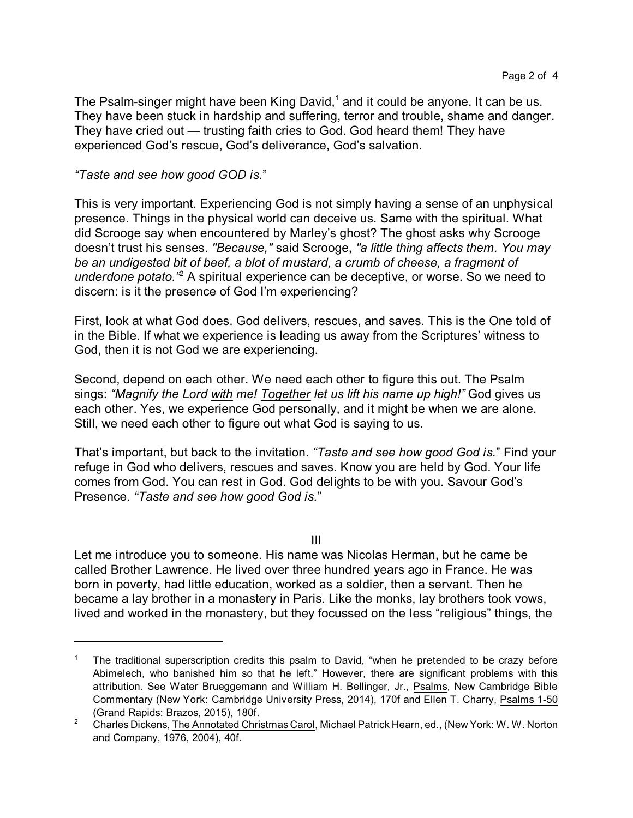The Psalm-singer might have been King David, $1$  and it could be anyone. It can be us. They have been stuck in hardship and suffering, terror and trouble, shame and danger. They have cried out — trusting faith cries to God. God heard them! They have experienced God's rescue, God's deliverance, God's salvation.

## *"Taste and see how good GOD is.*"

This is very important. Experiencing God is not simply having a sense of an unphysical presence. Things in the physical world can deceive us. Same with the spiritual. What did Scrooge say when encountered by Marley's ghost? The ghost asks why Scrooge doesn't trust his senses. *"Because,"* said Scrooge, *"a little thing affects them. You may be an undigested bit of beef, a blot of mustard, a crumb of cheese, a fragment of* underdone potato.<sup>"2</sup> A spiritual experience can be deceptive, or worse. So we need to discern: is it the presence of God I'm experiencing?

First, look at what God does. God delivers, rescues, and saves. This is the One told of in the Bible. If what we experience is leading us away from the Scriptures' witness to God, then it is not God we are experiencing.

Second, depend on each other. We need each other to figure this out. The Psalm sings: *"Magnify the Lord with me! Together let us lift his name up high!"* God gives us each other. Yes, we experience God personally, and it might be when we are alone. Still, we need each other to figure out what God is saying to us.

That's important, but back to the invitation. *"Taste and see how good God is.*" Find your refuge in God who delivers, rescues and saves. Know you are held by God. Your life comes from God. You can rest in God. God delights to be with you. Savour God's Presence. *"Taste and see how good God is.*"

III

Let me introduce you to someone. His name was Nicolas Herman, but he came be called Brother Lawrence. He lived over three hundred years ago in France. He was born in poverty, had little education, worked as a soldier, then a servant. Then he became a lay brother in a monastery in Paris. Like the monks, lay brothers took vows, lived and worked in the monastery, but they focussed on the less "religious" things, the

The traditional superscription credits this psalm to David, "when he pretended to be crazy before Abimelech, who banished him so that he left." However, there are significant problems with this attribution. See Water Brueggemann and William H. Bellinger, Jr., Psalms, New Cambridge Bible Commentary (New York: Cambridge University Press, 2014), 170f and Ellen T. Charry, Psalms 1-50 (Grand Rapids: Brazos, 2015), 180f.

<sup>&</sup>lt;sup>2</sup> Charles Dickens, The Annotated Christmas Carol, Michael Patrick Hearn, ed., (New York: W. W. Norton and Company, 1976, 2004), 40f.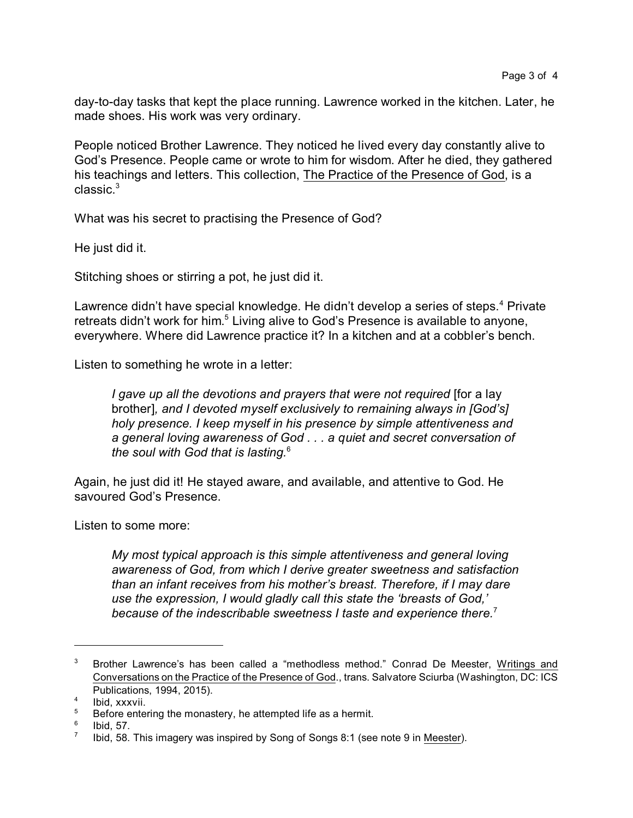day-to-day tasks that kept the place running. Lawrence worked in the kitchen. Later, he made shoes. His work was very ordinary.

People noticed Brother Lawrence. They noticed he lived every day constantly alive to God's Presence. People came or wrote to him for wisdom. After he died, they gathered his teachings and letters. This collection, The Practice of the Presence of God, is a  $classic.<sup>3</sup>$ 

What was his secret to practising the Presence of God?

He just did it.

Stitching shoes or stirring a pot, he just did it.

Lawrence didn't have special knowledge. He didn't develop a series of steps.<sup>4</sup> Private retreats didn't work for him.<sup>5</sup> Living alive to God's Presence is available to anyone, everywhere. Where did Lawrence practice it? In a kitchen and at a cobbler's bench.

Listen to something he wrote in a letter:

*I gave up all the devotions and prayers that were not required* [for a lay brother]*, and I devoted myself exclusively to remaining always in [God's] holy presence. I keep myself in his presence by simple attentiveness and a general loving awareness of God . . . a quiet and secret conversation of the soul with God that is lasting.*<sup>6</sup>

Again, he just did it! He stayed aware, and available, and attentive to God. He savoured God's Presence.

Listen to some more:

*My most typical approach is this simple attentiveness and general loving awareness of God, from which I derive greater sweetness and satisfaction than an infant receives from his mother's breast. Therefore, if I may dare use the expression, I would gladly call this state the 'breasts of God,' because of the indescribable sweetness I taste and experience there.*<sup>7</sup>

<sup>&</sup>lt;sup>3</sup> Brother Lawrence's has been called a "methodless method." Conrad De Meester, Writings and Conversations on the Practice of the Presence of God., trans. Salvatore Sciurba (Washington, DC: ICS Publications, 1994, 2015).

<sup>4</sup> Ibid, xxxvii.

 $5$  Before entering the monastery, he attempted life as a hermit.

<sup>6</sup> Ibid, 57.

<sup>7</sup> Ibid, 58. This imagery was inspired by Song of Songs 8:1 (see note 9 in Meester).